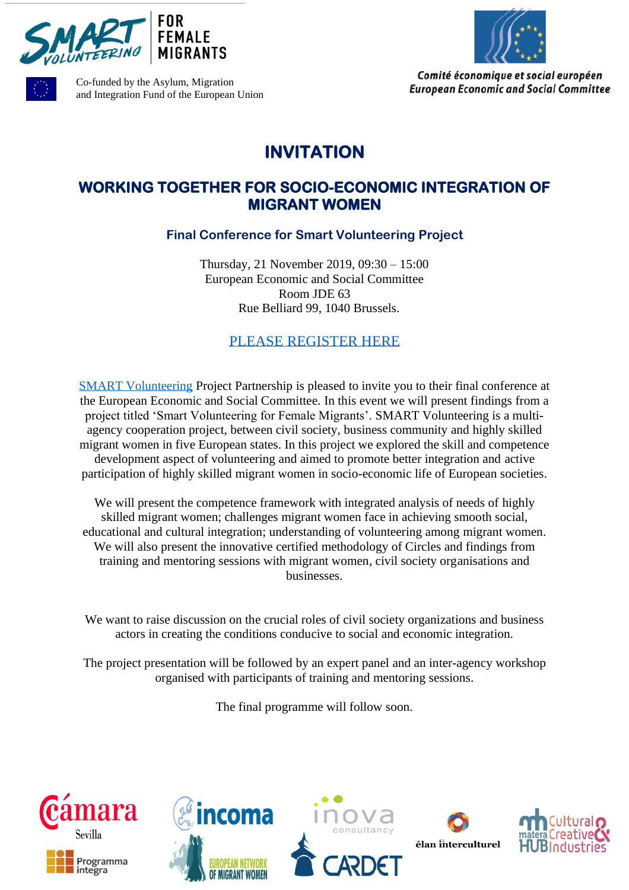





Comité économique et social européen **European Economic and Social Committee** 

Co-funded by the Asylum, Migration and Integration Fund of the European Union

## **INVITATION**

## **WORKING TOGETHER FOR SOCIO-ECONOMIC INTEGRATION OF MIGRANT WOMEN**

**Final Conference for Smart Volunteering Project**

Thursday, 21 November 2019, 09:30 – 15:00 European Economic and Social Committee Room JDE 63 Rue Belliard 99, 1040 Brussels.

[PLEASE REGISTER HERE](https://www.eventbrite.com/e/working-together-for-socio-economic-integration-of-migrant-women-tickets-73806999723?utm-medium=discovery&utm-campaign=social&utm-content=attendeeshare&aff=escb&utm-source=cp&utm-term=listing)

[SMART Volunteering](https://www.smartvolunteering.eu/en/) Project Partnership is pleased to invite you to their final conference at the European Economic and Social Committee. In this event we will present findings from a project titled 'Smart Volunteering for Female Migrants'. SMART Volunteering is a multiagency cooperation project, between civil society, business community and highly skilled migrant women in five European states. In this project we explored the skill and competence development aspect of volunteering and aimed to promote better integration and active participation of highly skilled migrant women in socio-economic life of European societies.

We will present the competence framework with integrated analysis of needs of highly skilled migrant women; challenges migrant women face in achieving smooth social, educational and cultural integration; understanding of volunteering among migrant women. We will also present the innovative certified methodology of Circles and findings from training and mentoring sessions with migrant women, civil society organisations and businesses.

We want to raise discussion on the crucial roles of civil society organizations and business actors in creating the conditions conducive to social and economic integration.

The project presentation will be followed by an expert panel and an inter-agency workshop organised with participants of training and mentoring sessions.

The final programme will follow soon.